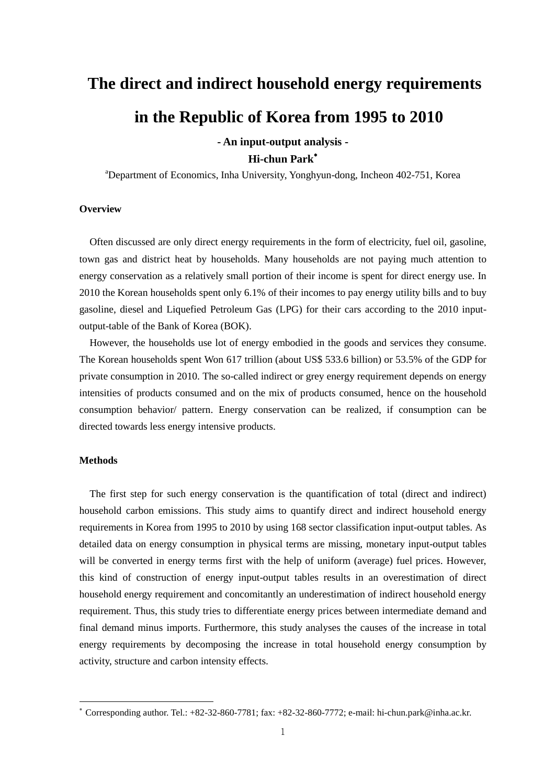# **The direct and indirect household energy requirements in the Republic of Korea from 1995 to 2010**

## **- An input-output analysis - Hi-chun Park**

<sup>a</sup>Department of Economics, Inha University, Yonghyun-dong, Incheon 402-751, Korea

#### **Overview**

Often discussed are only direct energy requirements in the form of electricity, fuel oil, gasoline, town gas and district heat by households. Many households are not paying much attention to energy conservation as a relatively small portion of their income is spent for direct energy use. In 2010 the Korean households spent only 6.1% of their incomes to pay energy utility bills and to buy gasoline, diesel and Liquefied Petroleum Gas (LPG) for their cars according to the 2010 inputoutput-table of the Bank of Korea (BOK).

However, the households use lot of energy embodied in the goods and services they consume. The Korean households spent Won 617 trillion (about US\$ 533.6 billion) or 53.5% of the GDP for private consumption in 2010. The so-called indirect or grey energy requirement depends on energy intensities of products consumed and on the mix of products consumed, hence on the household consumption behavior/ pattern. Energy conservation can be realized, if consumption can be directed towards less energy intensive products.

#### **Methods**

 $\overline{a}$ 

The first step for such energy conservation is the quantification of total (direct and indirect) household carbon emissions. This study aims to quantify direct and indirect household energy requirements in Korea from 1995 to 2010 by using 168 sector classification input-output tables. As detailed data on energy consumption in physical terms are missing, monetary input-output tables will be converted in energy terms first with the help of uniform (average) fuel prices. However, this kind of construction of energy input-output tables results in an overestimation of direct household energy requirement and concomitantly an underestimation of indirect household energy requirement. Thus, this study tries to differentiate energy prices between intermediate demand and final demand minus imports. Furthermore, this study analyses the causes of the increase in total energy requirements by decomposing the increase in total household energy consumption by activity, structure and carbon intensity effects.

Corresponding author. Tel.:  $+82-32-860-7781$ ; fax:  $+82-32-860-7772$ ; e-mail: hi-chun.park@inha.ac.kr.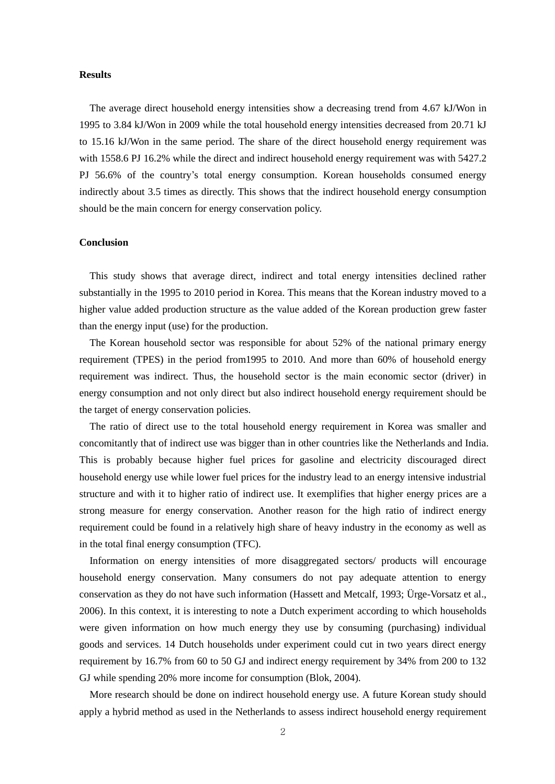#### **Results**

The average direct household energy intensities show a decreasing trend from 4.67 kJ/Won in 1995 to 3.84 kJ/Won in 2009 while the total household energy intensities decreased from 20.71 kJ to 15.16 kJ/Won in the same period. The share of the direct household energy requirement was with 1558.6 PJ 16.2% while the direct and indirect household energy requirement was with 5427.2 PJ 56.6% of the country's total energy consumption. Korean households consumed energy indirectly about 3.5 times as directly. This shows that the indirect household energy consumption should be the main concern for energy conservation policy.

### **Conclusion**

This study shows that average direct, indirect and total energy intensities declined rather substantially in the 1995 to 2010 period in Korea. This means that the Korean industry moved to a higher value added production structure as the value added of the Korean production grew faster than the energy input (use) for the production.

The Korean household sector was responsible for about 52% of the national primary energy requirement (TPES) in the period from1995 to 2010. And more than 60% of household energy requirement was indirect. Thus, the household sector is the main economic sector (driver) in energy consumption and not only direct but also indirect household energy requirement should be the target of energy conservation policies.

The ratio of direct use to the total household energy requirement in Korea was smaller and concomitantly that of indirect use was bigger than in other countries like the Netherlands and India. This is probably because higher fuel prices for gasoline and electricity discouraged direct household energy use while lower fuel prices for the industry lead to an energy intensive industrial structure and with it to higher ratio of indirect use. It exemplifies that higher energy prices are a strong measure for energy conservation. Another reason for the high ratio of indirect energy requirement could be found in a relatively high share of heavy industry in the economy as well as in the total final energy consumption (TFC).

Information on energy intensities of more disaggregated sectors/ products will encourage household energy conservation. Many consumers do not pay adequate attention to energy conservation as they do not have such information (Hassett and Metcalf, 1993; Ü rge-Vorsatz et al., 2006). In this context, it is interesting to note a Dutch experiment according to which households were given information on how much energy they use by consuming (purchasing) individual goods and services. 14 Dutch households under experiment could cut in two years direct energy requirement by 16.7% from 60 to 50 GJ and indirect energy requirement by 34% from 200 to 132 GJ while spending 20% more income for consumption (Blok, 2004).

More research should be done on indirect household energy use. A future Korean study should apply a hybrid method as used in the Netherlands to assess indirect household energy requirement